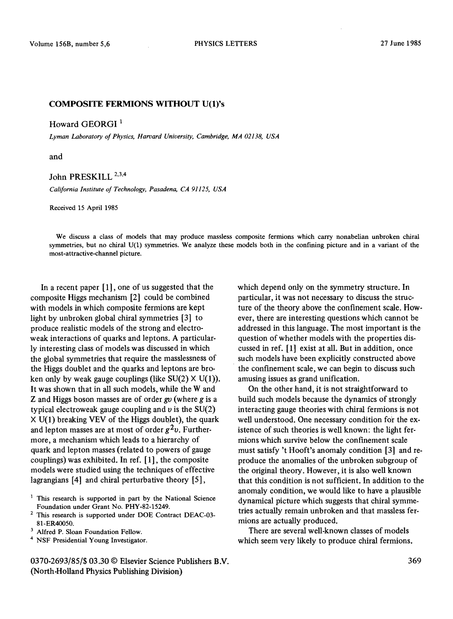## COMPOSITE FERMIONS WITHOUT U(1)'s

Howard GEORGI<sup>1</sup>

*Lyman Laboratory of Physics, Harvard University, Cambridge, MA 02138, USA* 

and

## John PRESKILL<sup>2,3,4</sup>

*California Institute of Technology, Pasadena, CA 91125, USA* 

Received 15 April 1985

We discuss a class of models that may produce massless composite fermions which carry nonabelian unbroken chiral symmetries, but no chiral U(1) symmetries. We analyze these models both in the confining picture and in a variant of the most-attractive-channel picture.

In a recent paper [1], one of us suggested that the composite Higgs mechanism [2] could be combined with models in which composite fermions are kept light by unbroken global chiral symmetries [3] to produce realistic models of the strong and electroweak interactions of quarks and leptons. A particularly interesting class of models was discussed in which the global symmetries that require the masslessness of the Higgs doublet and the quarks and leptons are broken only by weak gauge couplings (like  $SU(2) \times U(1)$ ). It was shown that in all such models, while the W and Z and Higgs boson masses are of order  $g\upsilon$  (where  $g$  is a typical electroweak gauge coupling and  $\nu$  is the SU(2) X U(1) breaking VEV of the Higgs doublet), the quark and lepton masses are at most of order  $g^2v$ . Furthermore, a mechanism which leads to a hierarchy of quark and lepton masses (related to powers of gauge couplings) was exhibited. In ref. [ 1], the composite models were studied using the techniques of effective lagrangians [4] and chiral perturbative theory [5],

0370-2693/85/\$ 03.30 © Elsevier Science Publishers B.V. (North-Holland Physics Publishing Division)

which depend only on the symmetry structure. In particular, it was not necessary to discuss the structure of the theory above the confinement scale. However, there are interesting questions which cannot be addressed in this language. The most important is the question of whether models with the properties discussed in ref. [1] exist at all. But in addition, once such models have been explicitly constructed above the confinement scale, we can begin to discuss such amusing issues as grand unification.

On the other hand, it is not straightforward to build such models because the dynamics of strongly interacting gauge theories with chiral fermions is not well understood. One necessary condition for the existence of such theories is well known: the light fermions which survive below the confinement scale must satisfy 't Hooft's anomaly condition [3] and reproduce the anomalies of the unbroken subgroup of the original theory. However, it is also well known that this condition is not sufficient. In addition to the anomaly condition, we would like to have a plausible dynamical picture which suggests that chiral symmetries actually remain unbroken and that massless fermions are actually produced.

There are several well-known classes of models which seem very likely to produce chiral fermions.

<sup>&</sup>lt;sup>1</sup> This research is supported in part by the National Science Foundation under Grant No. PHY-82-15249.

<sup>&</sup>lt;sup>2</sup> This research is supported under DOE Contract DEAC-03-81-ER40050.

<sup>&</sup>lt;sup>3</sup> Alfred P. Sloan Foundation Fellow.

<sup>4</sup> NSF Presidential Young Investigator.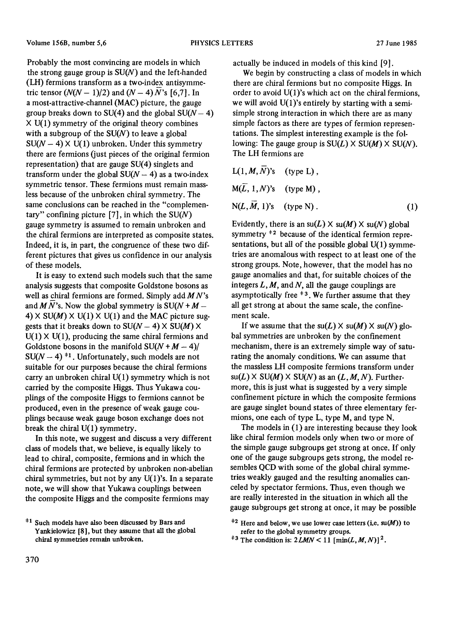Probably the most convincing are models in which the strong gauge group is  $SU(N)$  and the left-handed (LH) fermions transform as a two-index antisymmetric tensor  $(N(N-1)/2)$  and  $(N-4)N$ 's [6,7]. In a most-attractive-channel (MAC) picture, the gauge group breaks down to SU(4) and the global  $SU(N- 4)$  $X U(1)$  symmetry of the original theory combines with a subgroup of the  $SU(N)$  to leave a global  $SU(N-4) \times U(1)$  unbroken. Under this symmetry there are fermions (just pieces of the original fermion representation) that are gauge SU(4) singlets and transform under the global  $SU(N-4)$  as a two-index symmetric tensor. These fermions must remain massless because of the unbroken chiral symmetry. The same conclusions can be reached in the "complementary" confining picture  $[7]$ , in which the SU(N) gauge symmetry is assumed to remain unbroken and the chiral fermions are interpreted as composite states. Indeed, it is, in part, the congruence of these two different pictures that gives us confidence in our analysis of these models.

It is easy to extend such models such that the same analysis suggests that composite Goldstone bosons as well as chiral fermions are formed. Simply add *MN's*  and  $\overline{M}$  N's. Now the global symmetry is SU(N + M – 4)  $\times$  SU(M)  $\times$  U(1)  $\times$  U(1) and the MAC picture suggests that it breaks down to  $SU(N-4) \times SU(M) \times$  $U(1) \times U(1)$ , producing the same chiral fermions and Goldstone bosons in the manifold  $SU(N + M - 4)$  $SU(N-4)$ <sup>#1</sup>. Unfortunately, such models are not suitable for our purposes because the chiral fermions carry an unbroken chiral  $U(1)$  symmetry which is not carried by the composite Higgs. Thus Yukawa couplings of the composite Higgs to fermions cannot be produced, even in the presence of weak gauge couplings because weak gauge boson exchange does not break the chiral U(1) symmetry.

In this note, we suggest and discuss a very different class of models that, we believe, is equally likely to lead to chiral, composite, fermions and in which the chiral fermions are protected by unbroken non-abetian chiral symmetries, but not by any  $U(1)$ 's. In a separate note, we will show that Yukawa couplings between the composite Higgs and the composite fermions may

actually be induced in models of this kind [9].

We begin by constructing a class of models in which there are chiral fermions but no composite Higgs. In order to avoid  $U(1)$ 's which act on the chiral fermions, we will avoid U(1)'s entirely by starting with a semisimple strong interaction in which there are as many simple factors as there are types of fermion representations. The simplest interesting example is the following: The gauge group is  $SU(L) \times SU(M) \times SU(N)$ . The LH fermions are

$$
L(1, M, \overline{N})^s s \quad (type L),
$$
  
\n
$$
M(\overline{L}, 1, N)^s s \quad (type M),
$$
  
\n
$$
N(L, \overline{M}, 1)^s s \quad (type N).
$$
 (1)

Evidently, there is an  $su(L) \times su(M) \times su(N)$  global symmetry  $*$ <sup>2</sup> because of the identical fermion representations, but all of the possible global U(1) symmetries are anomalous with respect to at least one of the strong groups. Note, however, that the model has no gauge anomalies and that, for suitable choices of the integers  $L, M$ , and  $N$ , all the gauge couplings are asymptotically free  $*$ <sup>3</sup>. We further assume that they all get strong at about the same scale, the confinement scale.

If we assume that the  $su(L) \times su(M) \times su(N)$  global symmetries are unbroken by the confinement mechanism, there is an extremely simple way of saturating the anomaly conditions. We can assume that the massless LH composite fermions transform under  $su(L)$  X  $SU(M)$  X  $SU(N)$  as an  $(L, M, N)$ . Furthermore, this is just what is suggested by a very simple confinement picture in which the composite fermions are gauge singlet bound states of three elementary fermions, one each of type L, type M, and type N.

The models in (1) are interesting because they look like chiral fermion models only when two or more of the simple gauge subgroups get strong at once. If only one of the gauge subgroups gets strong, the model resembles QCD with some of the global chiral symmetries weakly gauged and the resulting anomalies canceled by spectator fermions. Thus, even though we are really interested in the situation in which all the gauge subgroups get strong at once, it may be possible

 $*1$  Such models have also been discussed by Bars and Yankielowicz [8], but they assume that all the global chiral symmetries remain unbroken.

 $*$ <sup>2</sup> Here and below, we use lower case letters (i.e. su(M)) to refer to the global symmetry groups.

<sup>&</sup>lt;sup> $\pm$ 3</sup> The condition is:  $2LMN < 11$  [min(L, M, N)]<sup>2</sup>.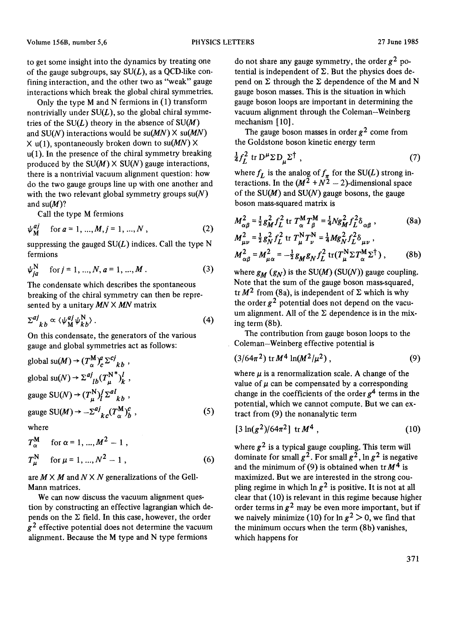to get some insight into the dynamics by treating one of the gauge subgroups, say  $SU(L)$ , as a QCD-like confining interaction, and the other two as "weak" gauge interactions which break the global chiral symmetries.

0nly the type M and N fermions in (1) transform nontrivially under  $SU(L)$ , so the global chiral symmetries of the  $SU(L)$  theory in the absence of  $SU(M)$ and  $SU(N)$  interactions would be  $su(MN) \times su(MN)$  $X$  u(1), spontaneously broken down to su(MN)  $X$ u(1). In the presence of the chiral symmetry breaking produced by the  $SU(M) \times SU(N)$  gauge interactions, there is a nontrivial vacuum alignment question: how do the two gauge groups line up with one another and with the two relevant global symmetry groups  $su(N)$ and  $su(M)$ ?

Call the type M fermions

$$
\psi_{\mathbf{M}}^{aj} \quad \text{for } a = 1, ..., M, j = 1, ..., N,
$$
 (2)

suppressing the gauged  $SU(L)$  indices. Call the type N fermions

$$
\psi_{ia}^N \quad \text{for } j = 1, ..., N, a = 1, ..., M.
$$
 (3)

The condensate which describes the spontaneous breaking of the chirai symmetry can then be represented by a unitary *MN X MN* matrix

$$
\Sigma^{aj}_{\ k b} \propto \langle \psi^{\,aj}_{\,M} \psi^{\,N}_{\,kb} \rangle \,. \tag{4}
$$

On this condensate, the generators of the various gauge and global symmetries act as follows:

global su(
$$
M
$$
)  $\rightarrow$  ( $T_{\alpha}^{M}y_{c}^{a} \Sigma^{ci}_{kb}$ ;  
global su( $N$ )  $\rightarrow \Sigma^{aj}_{lb}(T_{\mu}^{N^{*}})_{k}^{l}$ ,  
gauge SU( $N$ )  $\rightarrow$  ( $T_{\mu}^{N}y_{l}^{j} \Sigma^{al}_{kb}$ ,  
gauge SU( $M$ )  $\rightarrow -\Sigma^{aj}_{kc}(T_{\alpha}^{M})_{b}^{c}$ , (5)

where

$$
T_{\alpha}^{\mathbf{M}} \quad \text{for } \alpha = 1, ..., M^2 - 1 ,
$$
  
\n
$$
T_{\mu}^{\mathbf{N}} \quad \text{for } \mu = 1, ..., N^2 - 1 ,
$$
 (6)

are  $M \times M$  and  $N \times N$  generalizations of the Gell-Mann matrices.

We can now discuss the vacuum alignment question by constructing an effective lagrangian which depends on the  $\Sigma$  field. In this case, however, the order  $g<sup>2</sup>$  effective potential does not determine the vacuum alignment. Because the M type and N type fermions

do not share any gauge symmetry, the order  $g^2$  potential is independent of  $\Sigma$ . But the physics does depend on  $\Sigma$  through the  $\Sigma$  dependence of the M and N gauge boson masses. This is the situation in which gauge boson loops are important in determining the vacuum alignment through the Coleman-Weinberg mechanism [ 10].

The gauge boson masses in order  $g^2$  come from the Goldstone boson kinetic energy term

$$
\frac{1}{4}f_L^2 \text{ tr } D^\mu \Sigma D_\mu \Sigma^\dagger \tag{7}
$$

where  $f_L$  is the analog of  $f_{\pi}$  for the SU(L) strong interactions. In the  $(M^2 + N^2 - 2)$ -dimensional space of the  $SU(M)$  and  $SU(N)$  gauge bosons, the gauge boson mass-squared matrix is

$$
M_{\alpha\beta}^{2} = \frac{1}{2}g_{M}^{2}f_{L}^{2} \text{ tr } T_{\alpha}^{M}T_{\beta}^{M} = \frac{1}{4}Ng_{M}^{2}f_{L}^{2}\delta_{\alpha\beta} ,
$$
\n(8a)  
\n
$$
M_{\mu\nu}^{2} = \frac{1}{2}g_{N}^{2}f_{L}^{2} \text{ tr } T_{\mu}^{N}T_{\nu}^{N} = \frac{1}{4}Mg_{N}^{2}f_{L}^{2}\delta_{\mu\nu} ,
$$
\n
$$
M_{\alpha\beta}^{2} = M_{\mu\alpha}^{2} = -\frac{1}{2}g_{M}g_{N}f_{L}^{2} \text{ tr}(T_{\mu}^{N}\Sigma T_{\alpha}^{M}\Sigma^{\dagger}),
$$
\n(8b)

where  $g_M(g_N)$  is the SU(M) (SU(N)) gauge coupling. Note that the sum of the gauge boson mass-squared, tr  $M^2$  from (8a), is independent of  $\Sigma$  which is why the order  $g^2$  potential does not depend on the vacuum alignment. All of the  $\Sigma$  dependence is in the mixing term (8b).

The contribution from gauge boson loops to the Coleman-Weinberg effective potential is

$$
(3/64\pi^2) tr M^4 \ln(M^2/\mu^2), \qquad (9)
$$

where  $\mu$  is a renormalization scale. A change of the value of  $\mu$  can be compensated by a corresponding change in the coefficients of the order  $g<sup>4</sup>$  terms in the potential, which we cannot compute. But we can extract from (9) the nonanalytic term

$$
[3\ln(g^2)/64\pi^2] \text{ tr } M^4 , \qquad (10)
$$

where  $g^2$  is a typical gauge coupling. This term will dominate for small  $g^2$ . For small  $g^2$ , ln  $g^2$  is negative and the minimum of (9) is obtained when  $tr M<sup>4</sup>$  is maximized. But we are interested in the strong coupling regime in which  $\ln g^2$  is positive. It is not at all clear that (10) is relevant in this regime because higher order terms in  $g^2$  may be even more important, but if we naively minimize (10) for  $\ln g^2 > 0$ , we find that the minimum occurs when the term (8b) vanishes, which happens for